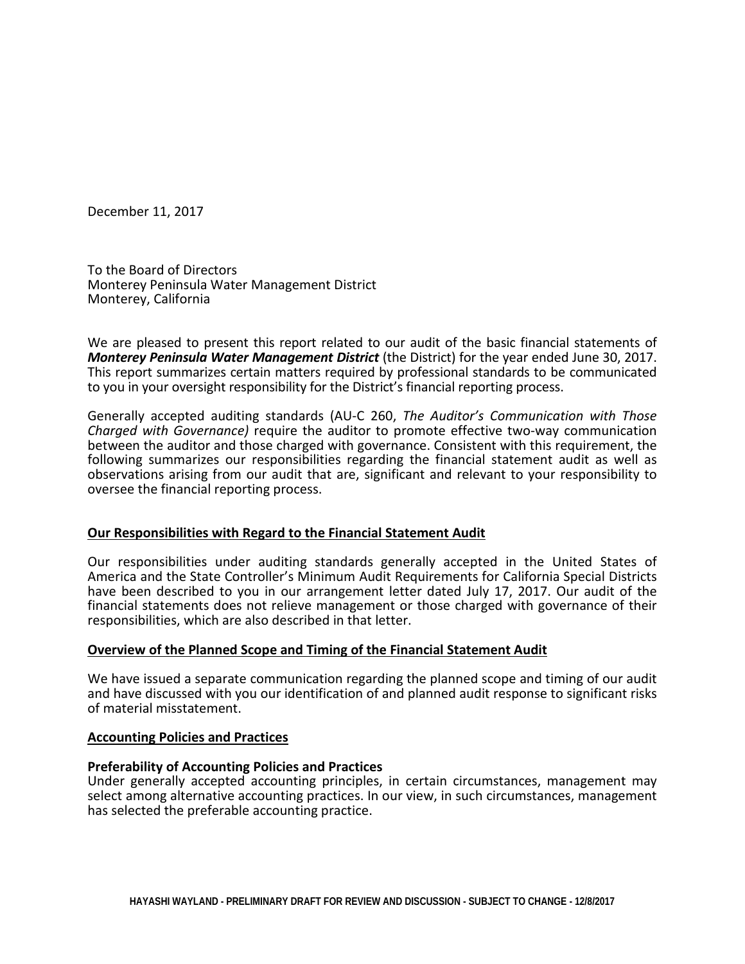December 11, 2017

To the Board of Directors Monterey Peninsula Water Management District Monterey, California

We are pleased to present this report related to our audit of the basic financial statements of **Monterey Peninsula Water Management District** (the District) for the year ended June 30, 2017. This report summarizes certain matters required by professional standards to be communicated to you in your oversight responsibility for the District's financial reporting process.

Generally accepted auditing standards (AU-C 260, *The Auditor's Communication with Those Charged with Governance)* require the auditor to promote effective two-way communication between the auditor and those charged with governance. Consistent with this requirement, the following summarizes our responsibilities regarding the financial statement audit as well as observations arising from our audit that are, significant and relevant to your responsibility to oversee the financial reporting process.

# **Our Responsibilities with Regard to the Financial Statement Audit**

Our responsibilities under auditing standards generally accepted in the United States of America and the State Controller's Minimum Audit Requirements for California Special Districts have been described to you in our arrangement letter dated July 17, 2017. Our audit of the financial statements does not relieve management or those charged with governance of their responsibilities, which are also described in that letter.

# **Overview of the Planned Scope and Timing of the Financial Statement Audit**

We have issued a separate communication regarding the planned scope and timing of our audit and have discussed with you our identification of and planned audit response to significant risks of material misstatement.

## **Accounting Policies and Practices**

# **Preferability of Accounting Policies and Practices**

Under generally accepted accounting principles, in certain circumstances, management may select among alternative accounting practices. In our view, in such circumstances, management has selected the preferable accounting practice.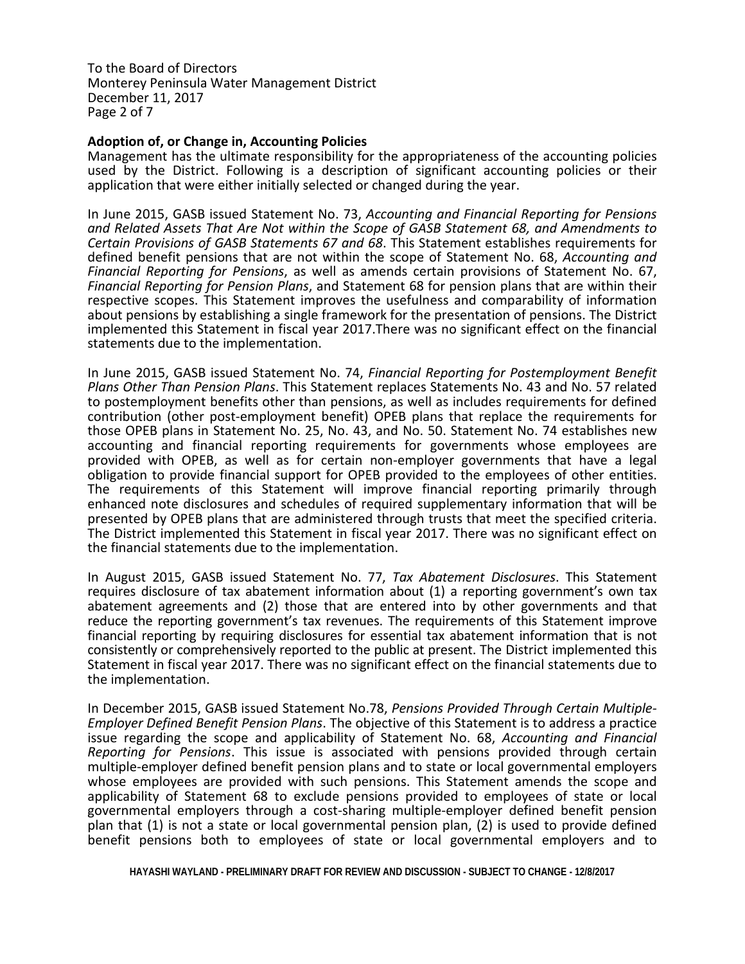To the Board of Directors Monterey Peninsula Water Management District December 11, 2017 Page 2 of 7

# **Adoption of, or Change in, Accounting Policies**

Management has the ultimate responsibility for the appropriateness of the accounting policies used by the District. Following is a description of significant accounting policies or their application that were either initially selected or changed during the year.

In June 2015, GASB issued Statement No. 73, *Accounting and Financial Reporting for Pensions and Related Assets That Are Not within the Scope of GASB Statement 68, and Amendments to Certain Provisions of GASB Statements 67 and 68*. This Statement establishes requirements for defined benefit pensions that are not within the scope of Statement No. 68, *Accounting and Financial Reporting for Pensions*, as well as amends certain provisions of Statement No. 67, *Financial Reporting for Pension Plans*, and Statement 68 for pension plans that are within their respective scopes. This Statement improves the usefulness and comparability of information about pensions by establishing a single framework for the presentation of pensions. The District implemented this Statement in fiscal year 2017.There was no significant effect on the financial statements due to the implementation.

In June 2015, GASB issued Statement No. 74, *Financial Reporting for Postemployment Benefit Plans Other Than Pension Plans*. This Statement replaces Statements No. 43 and No. 57 related to postemployment benefits other than pensions, as well as includes requirements for defined contribution (other post-employment benefit) OPEB plans that replace the requirements for those OPEB plans in Statement No. 25, No. 43, and No. 50. Statement No. 74 establishes new accounting and financial reporting requirements for governments whose employees are provided with OPEB, as well as for certain non-employer governments that have a legal obligation to provide financial support for OPEB provided to the employees of other entities. The requirements of this Statement will improve financial reporting primarily through enhanced note disclosures and schedules of required supplementary information that will be presented by OPEB plans that are administered through trusts that meet the specified criteria. The District implemented this Statement in fiscal year 2017. There was no significant effect on the financial statements due to the implementation.

In August 2015, GASB issued Statement No. 77, *Tax Abatement Disclosures*. This Statement requires disclosure of tax abatement information about (1) a reporting government's own tax abatement agreements and (2) those that are entered into by other governments and that reduce the reporting government's tax revenues. The requirements of this Statement improve financial reporting by requiring disclosures for essential tax abatement information that is not consistently or comprehensively reported to the public at present. The District implemented this Statement in fiscal year 2017. There was no significant effect on the financial statements due to the implementation.

In December 2015, GASB issued Statement No.78, *Pensions Provided Through Certain Multiple- Employer Defined Benefit Pension Plans*. The objective of this Statement is to address a practice issue regarding the scope and applicability of Statement No. 68, *Accounting and Financial Reporting for Pensions*. This issue is associated with pensions provided through certain multiple-employer defined benefit pension plans and to state or local governmental employers whose employees are provided with such pensions. This Statement amends the scope and applicability of Statement 68 to exclude pensions provided to employees of state or local governmental employers through a cost-sharing multiple-employer defined benefit pension plan that (1) is not a state or local governmental pension plan, (2) is used to provide defined benefit pensions both to employees of state or local governmental employers and to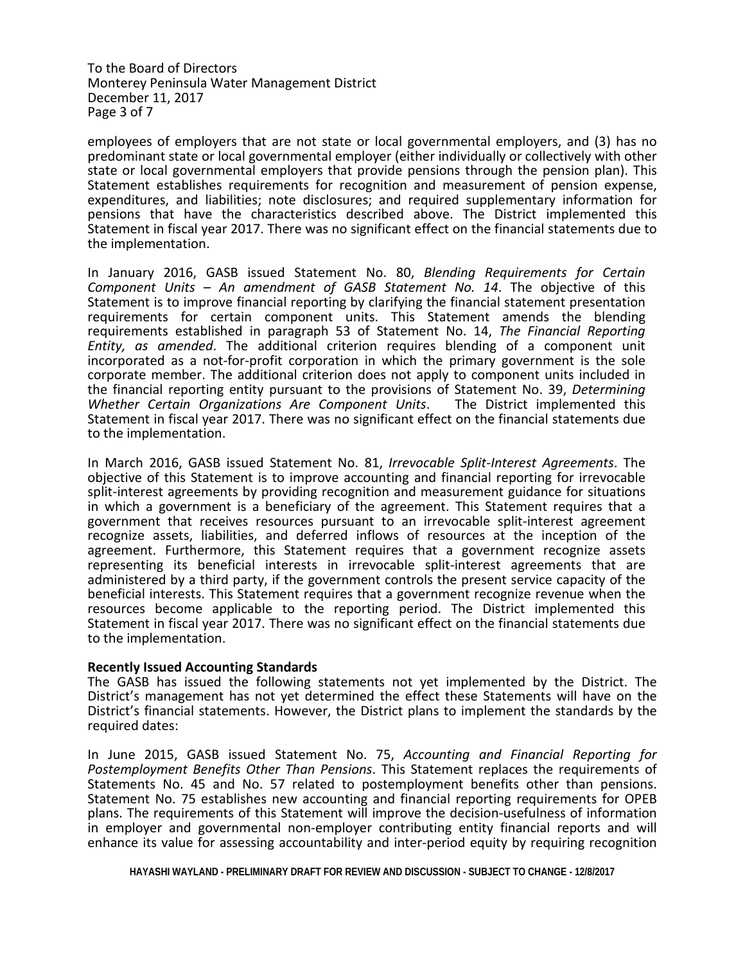To the Board of Directors Monterey Peninsula Water Management District December 11, 2017 Page 3 of 7

employees of employers that are not state or local governmental employers, and (3) has no predominant state or local governmental employer (either individually or collectively with other state or local governmental employers that provide pensions through the pension plan). This Statement establishes requirements for recognition and measurement of pension expense, expenditures, and liabilities; note disclosures; and required supplementary information for pensions that have the characteristics described above. The District implemented this Statement in fiscal year 2017. There was no significant effect on the financial statements due to the implementation.

In January 2016, GASB issued Statement No. 80, *Blending Requirements for Certain Component Units – An amendment of GASB Statement No. 14*. The objective of this Statement is to improve financial reporting by clarifying the financial statement presentation requirements for certain component units. This Statement amends the blending requirements established in paragraph 53 of Statement No. 14, *The Financial Reporting Entity, as amended*. The additional criterion requires blending of a component unit incorporated as a not-for-profit corporation in which the primary government is the sole corporate member. The additional criterion does not apply to component units included in the financial reporting entity pursuant to the provisions of Statement No. 39, *Determining Whether Certain Organizations Are Component Units*. The District implemented this Statement in fiscal year 2017. There was no significant effect on the financial statements due to the implementation.

In March 2016, GASB issued Statement No. 81, *Irrevocable Split-Interest Agreements*. The objective of this Statement is to improve accounting and financial reporting for irrevocable split-interest agreements by providing recognition and measurement guidance for situations in which a government is a beneficiary of the agreement. This Statement requires that a government that receives resources pursuant to an irrevocable split-interest agreement recognize assets, liabilities, and deferred inflows of resources at the inception of the agreement. Furthermore, this Statement requires that a government recognize assets representing its beneficial interests in irrevocable split-interest agreements that are administered by a third party, if the government controls the present service capacity of the beneficial interests. This Statement requires that a government recognize revenue when the resources become applicable to the reporting period. The District implemented this Statement in fiscal year 2017. There was no significant effect on the financial statements due to the implementation.

#### **Recently Issued Accounting Standards**

The GASB has issued the following statements not yet implemented by the District. The District's management has not yet determined the effect these Statements will have on the District's financial statements. However, the District plans to implement the standards by the required dates:

In June 2015, GASB issued Statement No. 75, *Accounting and Financial Reporting for Postemployment Benefits Other Than Pensions*. This Statement replaces the requirements of Statements No. 45 and No. 57 related to postemployment benefits other than pensions. Statement No. 75 establishes new accounting and financial reporting requirements for OPEB plans. The requirements of this Statement will improve the decision-usefulness of information in employer and governmental non-employer contributing entity financial reports and will enhance its value for assessing accountability and inter-period equity by requiring recognition

**HAYASHI WAYLAND - PRELIMINARY DRAFT FOR REVIEW AND DISCUSSION - SUBJECT TO CHANGE - 12/8/2017**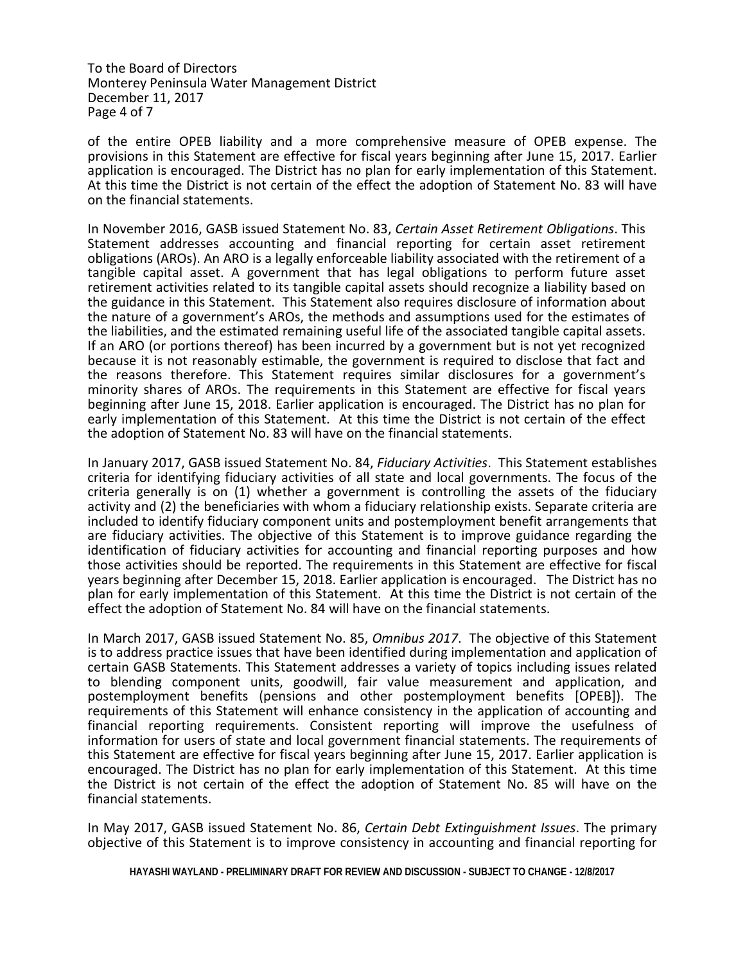To the Board of Directors Monterey Peninsula Water Management District December 11, 2017 Page 4 of 7

of the entire OPEB liability and a more comprehensive measure of OPEB expense. The provisions in this Statement are effective for fiscal years beginning after June 15, 2017. Earlier application is encouraged. The District has no plan for early implementation of this Statement. At this time the District is not certain of the effect the adoption of Statement No. 83 will have on the financial statements.

In November 2016, GASB issued Statement No. 83, *Certain Asset Retirement Obligations*. This Statement addresses accounting and financial reporting for certain asset retirement obligations (AROs). An ARO is a legally enforceable liability associated with the retirement of a tangible capital asset. A government that has legal obligations to perform future asset retirement activities related to its tangible capital assets should recognize a liability based on the guidance in this Statement. This Statement also requires disclosure of information about the nature of a government's AROs, the methods and assumptions used for the estimates of the liabilities, and the estimated remaining useful life of the associated tangible capital assets. If an ARO (or portions thereof) has been incurred by a government but is not yet recognized because it is not reasonably estimable, the government is required to disclose that fact and the reasons therefore. This Statement requires similar disclosures for a government's minority shares of AROs. The requirements in this Statement are effective for fiscal years beginning after June 15, 2018. Earlier application is encouraged. The District has no plan for early implementation of this Statement. At this time the District is not certain of the effect the adoption of Statement No. 83 will have on the financial statements.

In January 2017, GASB issued Statement No. 84, *Fiduciary Activities*. This Statement establishes criteria for identifying fiduciary activities of all state and local governments. The focus of the criteria generally is on (1) whether a government is controlling the assets of the fiduciary activity and (2) the beneficiaries with whom a fiduciary relationship exists. Separate criteria are included to identify fiduciary component units and postemployment benefit arrangements that are fiduciary activities. The objective of this Statement is to improve guidance regarding the identification of fiduciary activities for accounting and financial reporting purposes and how those activities should be reported. The requirements in this Statement are effective for fiscal years beginning after December 15, 2018. Earlier application is encouraged. The District has no plan for early implementation of this Statement. At this time the District is not certain of the effect the adoption of Statement No. 84 will have on the financial statements.

In March 2017, GASB issued Statement No. 85, *Omnibus 2017*. The objective of this Statement is to address practice issues that have been identified during implementation and application of certain GASB Statements. This Statement addresses a variety of topics including issues related to blending component units, goodwill, fair value measurement and application, and postemployment benefits (pensions and other postemployment benefits [OPEB]). The requirements of this Statement will enhance consistency in the application of accounting and financial reporting requirements. Consistent reporting will improve the usefulness of information for users of state and local government financial statements. The requirements of this Statement are effective for fiscal years beginning after June 15, 2017. Earlier application is encouraged. The District has no plan for early implementation of this Statement. At this time the District is not certain of the effect the adoption of Statement No. 85 will have on the financial statements.

In May 2017, GASB issued Statement No. 86, *Certain Debt Extinguishment Issues*. The primary objective of this Statement is to improve consistency in accounting and financial reporting for

**HAYASHI WAYLAND - PRELIMINARY DRAFT FOR REVIEW AND DISCUSSION - SUBJECT TO CHANGE - 12/8/2017**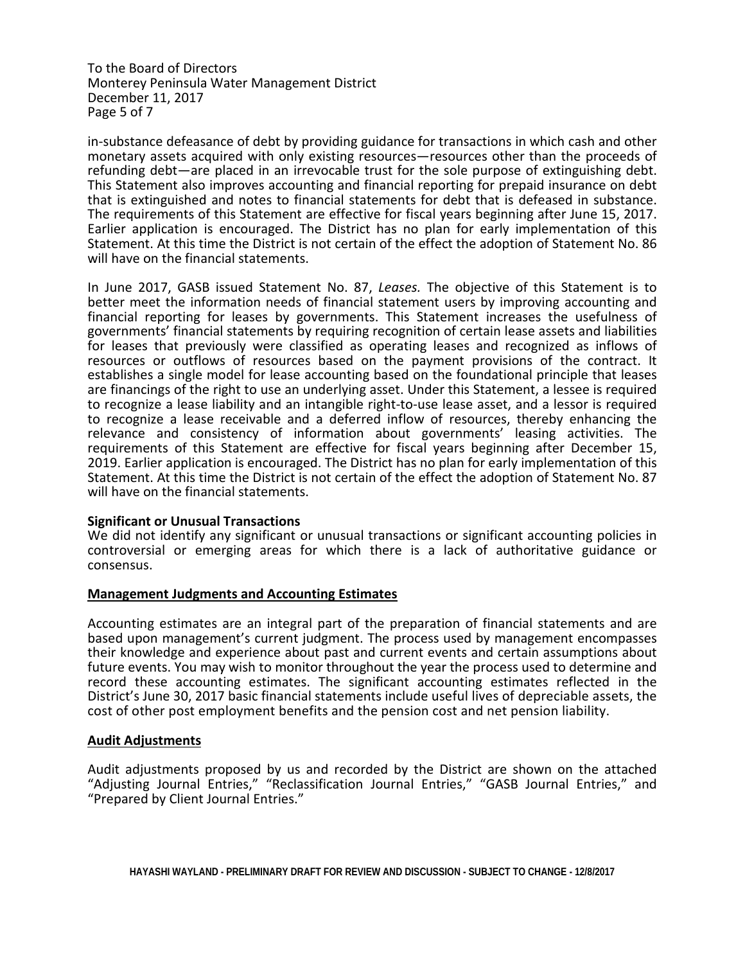To the Board of Directors Monterey Peninsula Water Management District December 11, 2017 Page 5 of 7

in-substance defeasance of debt by providing guidance for transactions in which cash and other monetary assets acquired with only existing resources—resources other than the proceeds of refunding debt—are placed in an irrevocable trust for the sole purpose of extinguishing debt. This Statement also improves accounting and financial reporting for prepaid insurance on debt that is extinguished and notes to financial statements for debt that is defeased in substance. The requirements of this Statement are effective for fiscal years beginning after June 15, 2017. Earlier application is encouraged. The District has no plan for early implementation of this Statement. At this time the District is not certain of the effect the adoption of Statement No. 86 will have on the financial statements.

In June 2017, GASB issued Statement No. 87, *Leases.* The objective of this Statement is to better meet the information needs of financial statement users by improving accounting and financial reporting for leases by governments. This Statement increases the usefulness of governments' financial statements by requiring recognition of certain lease assets and liabilities for leases that previously were classified as operating leases and recognized as inflows of resources or outflows of resources based on the payment provisions of the contract. It establishes a single model for lease accounting based on the foundational principle that leases are financings of the right to use an underlying asset. Under this Statement, a lessee is required to recognize a lease liability and an intangible right-to-use lease asset, and a lessor is required to recognize a lease receivable and a deferred inflow of resources, thereby enhancing the relevance and consistency of information about governments' leasing activities. The requirements of this Statement are effective for fiscal years beginning after December 15, 2019. Earlier application is encouraged. The District has no plan for early implementation of this Statement. At this time the District is not certain of the effect the adoption of Statement No. 87 will have on the financial statements.

## **Significant or Unusual Transactions**

We did not identify any significant or unusual transactions or significant accounting policies in controversial or emerging areas for which there is a lack of authoritative guidance or consensus.

#### **Management Judgments and Accounting Estimates**

Accounting estimates are an integral part of the preparation of financial statements and are based upon management's current judgment. The process used by management encompasses their knowledge and experience about past and current events and certain assumptions about future events. You may wish to monitor throughout the year the process used to determine and record these accounting estimates. The significant accounting estimates reflected in the District's June 30, 2017 basic financial statements include useful lives of depreciable assets, the cost of other post employment benefits and the pension cost and net pension liability.

# **Audit Adjustments**

Audit adjustments proposed by us and recorded by the District are shown on the attached "Adjusting Journal Entries," "Reclassification Journal Entries," "GASB Journal Entries," and "Prepared by Client Journal Entries."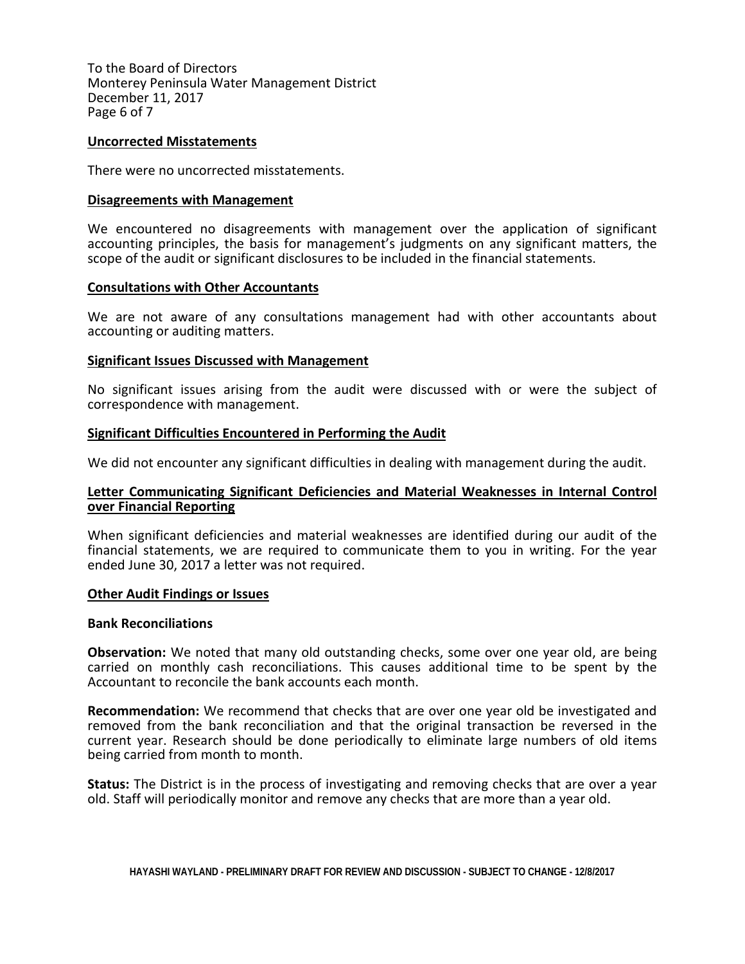To the Board of Directors Monterey Peninsula Water Management District December 11, 2017 Page 6 of 7

## **Uncorrected Misstatements**

There were no uncorrected misstatements.

## **Disagreements with Management**

We encountered no disagreements with management over the application of significant accounting principles, the basis for management's judgments on any significant matters, the scope of the audit or significant disclosures to be included in the financial statements.

## **Consultations with Other Accountants**

We are not aware of any consultations management had with other accountants about accounting or auditing matters.

## **Significant Issues Discussed with Management**

No significant issues arising from the audit were discussed with or were the subject of correspondence with management.

## **Significant Difficulties Encountered in Performing the Audit**

We did not encounter any significant difficulties in dealing with management during the audit.

# **Letter Communicating Significant Deficiencies and Material Weaknesses in Internal Control over Financial Reporting**

When significant deficiencies and material weaknesses are identified during our audit of the financial statements, we are required to communicate them to you in writing. For the year ended June 30, 2017 a letter was not required.

#### **Other Audit Findings or Issues**

#### **Bank Reconciliations**

**Observation:** We noted that many old outstanding checks, some over one year old, are being carried on monthly cash reconciliations. This causes additional time to be spent by the Accountant to reconcile the bank accounts each month.

**Recommendation:** We recommend that checks that are over one year old be investigated and removed from the bank reconciliation and that the original transaction be reversed in the current year. Research should be done periodically to eliminate large numbers of old items being carried from month to month.

**Status:** The District is in the process of investigating and removing checks that are over a year old. Staff will periodically monitor and remove any checks that are more than a year old.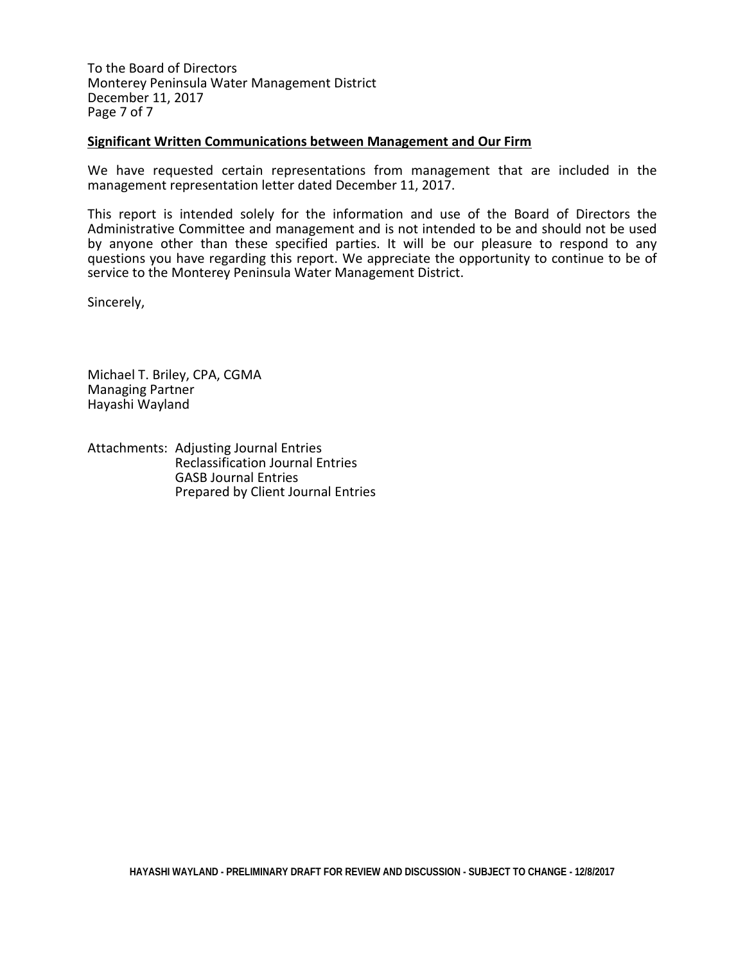To the Board of Directors Monterey Peninsula Water Management District December 11, 2017 Page 7 of 7

## **Significant Written Communications between Management and Our Firm**

We have requested certain representations from management that are included in the management representation letter dated December 11, 2017.

This report is intended solely for the information and use of the Board of Directors the Administrative Committee and management and is not intended to be and should not be used by anyone other than these specified parties. It will be our pleasure to respond to any questions you have regarding this report. We appreciate the opportunity to continue to be of service to the Monterey Peninsula Water Management District.

Sincerely,

Michael T. Briley, CPA, CGMA Managing Partner Hayashi Wayland

Attachments: Adjusting Journal Entries Reclassification Journal Entries GASB Journal Entries Prepared by Client Journal Entries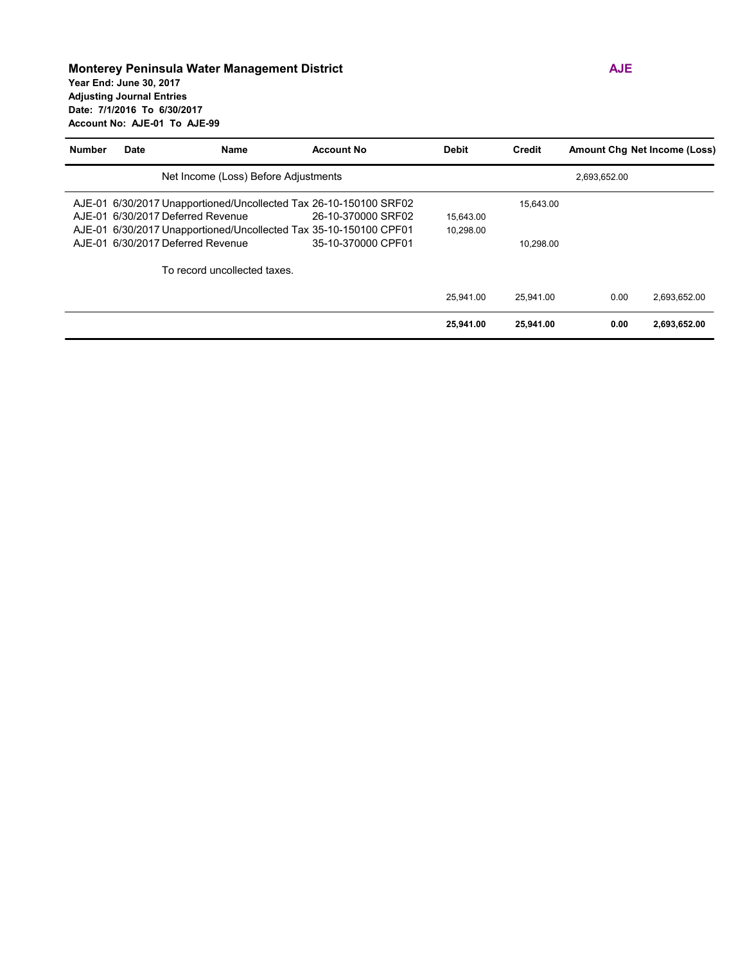#### **Monterey Peninsula Water Management District AJE Year End: June 30, 2017 Adjusting Journal Entries Date: 7/1/2016 To 6/30/2017 Account No: AJE-01 To AJE-99**

| <b>Number</b> | <b>Date</b> | Name                                                              | <b>Account No</b>  | <b>Debit</b> | <b>Credit</b> | <b>Amount Chg Net Income (Loss)</b> |              |
|---------------|-------------|-------------------------------------------------------------------|--------------------|--------------|---------------|-------------------------------------|--------------|
|               |             | Net Income (Loss) Before Adjustments                              |                    |              |               | 2,693,652.00                        |              |
|               |             | AJE-01 6/30/2017 Unapportioned/Uncollected Tax 26-10-150100 SRF02 |                    |              | 15,643.00     |                                     |              |
|               |             | AJE-01 6/30/2017 Deferred Revenue                                 | 26-10-370000 SRF02 | 15.643.00    |               |                                     |              |
|               |             | AJE-01 6/30/2017 Unapportioned/Uncollected Tax 35-10-150100 CPF01 |                    | 10.298.00    |               |                                     |              |
|               |             | AJE-01 6/30/2017 Deferred Revenue                                 | 35-10-370000 CPF01 |              | 10.298.00     |                                     |              |
|               |             | To record uncollected taxes.                                      |                    |              |               |                                     |              |
|               |             |                                                                   |                    | 25.941.00    | 25.941.00     | 0.00                                | 2,693,652.00 |
|               |             |                                                                   |                    | 25,941.00    | 25,941.00     | 0.00                                | 2,693,652.00 |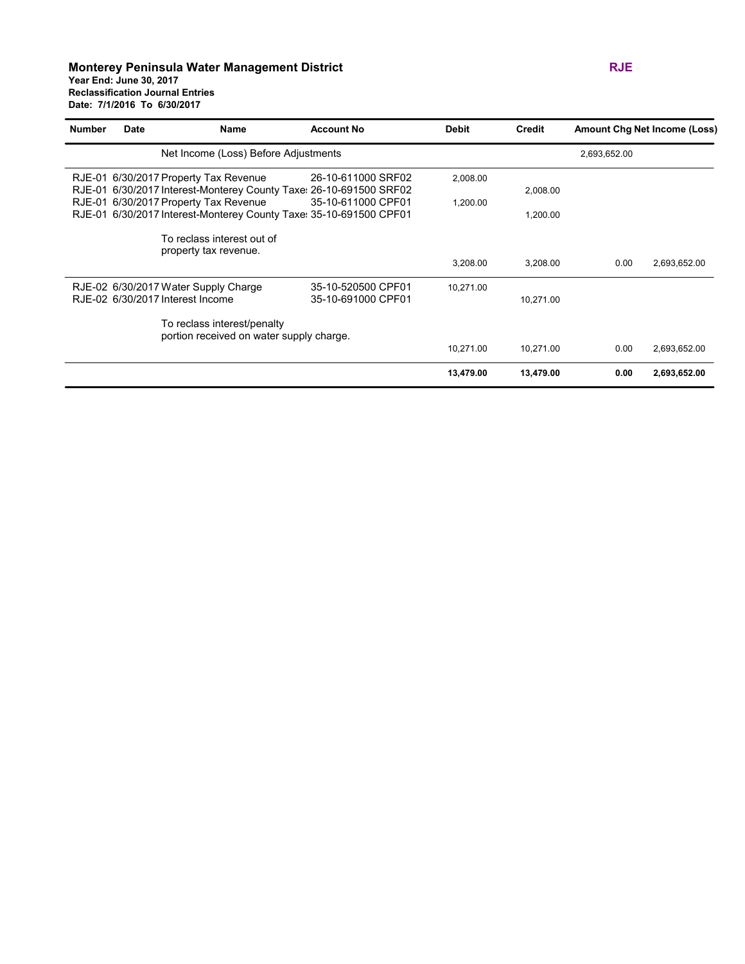#### **Monterey Peninsula Water Management District RJE Year End: June 30, 2017 Reclassification Journal Entries Date: 7/1/2016 To 6/30/2017**

| <b>Number</b> | <b>Date</b> | Name                                                                                                        | <b>Account No</b>                        | <b>Debit</b> | <b>Credit</b> |              | <b>Amount Chg Net Income (Loss)</b> |
|---------------|-------------|-------------------------------------------------------------------------------------------------------------|------------------------------------------|--------------|---------------|--------------|-------------------------------------|
|               |             | Net Income (Loss) Before Adjustments                                                                        |                                          |              |               | 2,693,652.00 |                                     |
|               |             | RJE-01 6/30/2017 Property Tax Revenue<br>RJE-01 6/30/2017 Interest-Monterey County Taxe: 26-10-691500 SRF02 | 26-10-611000 SRF02                       | 2,008.00     | 2,008.00      |              |                                     |
|               |             | RJE-01 6/30/2017 Property Tax Revenue<br>RJE-01 6/30/2017 Interest-Monterey County Taxe: 35-10-691500 CPF01 | 35-10-611000 CPF01                       | 1,200.00     | 1,200.00      |              |                                     |
|               |             | To reclass interest out of<br>property tax revenue.                                                         |                                          |              |               |              |                                     |
|               |             |                                                                                                             |                                          | 3,208.00     | 3,208.00      | 0.00         | 2,693,652.00                        |
|               |             | RJE-02 6/30/2017 Water Supply Charge<br>RJE-02 6/30/2017 Interest Income                                    | 35-10-520500 CPF01<br>35-10-691000 CPF01 | 10,271.00    | 10,271.00     |              |                                     |
|               |             | To reclass interest/penalty<br>portion received on water supply charge.                                     |                                          |              |               |              |                                     |
|               |             |                                                                                                             |                                          | 10,271.00    | 10,271.00     | 0.00         | 2,693,652.00                        |
|               |             |                                                                                                             |                                          | 13,479.00    | 13,479.00     | 0.00         | 2,693,652.00                        |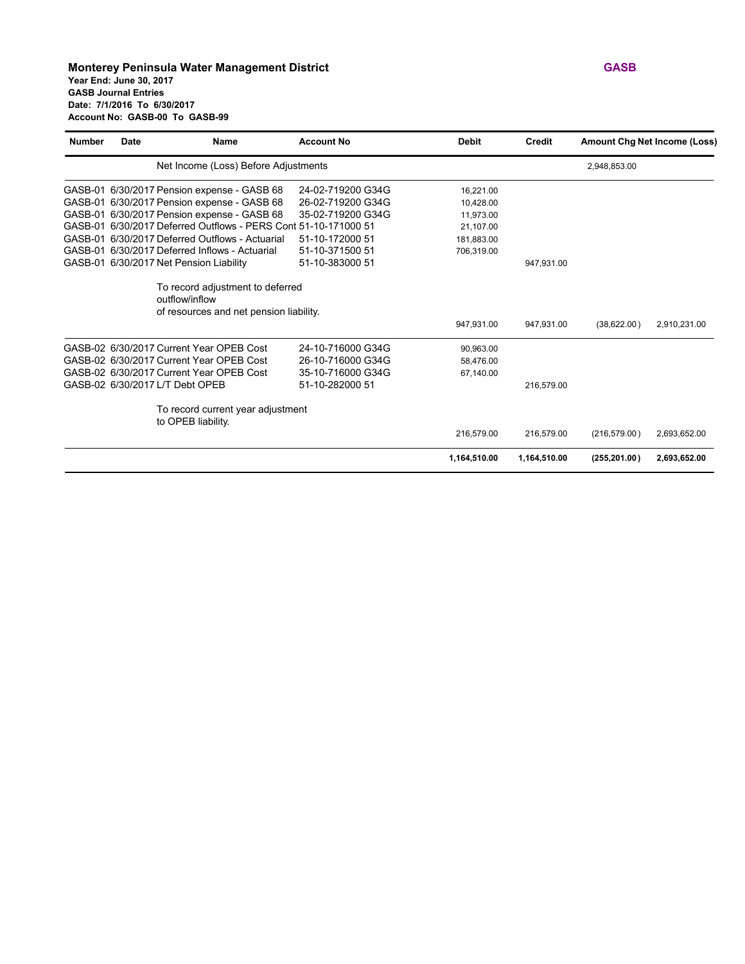#### **Monterey Peninsula Water Management District GASB Year End: June 30, 2017 GASB Journal Entries Date: 7/1/2016 To 6/30/2017 Account No: GASB-00 To GASB-99**

| <b>Number</b> | Date | Name                                                                                          | <b>Account No</b> | <b>Debit</b> | <b>Credit</b> |               | <b>Amount Chg Net Income (Loss)</b> |  |
|---------------|------|-----------------------------------------------------------------------------------------------|-------------------|--------------|---------------|---------------|-------------------------------------|--|
|               |      | Net Income (Loss) Before Adjustments                                                          |                   | 2,948,853.00 |               |               |                                     |  |
|               |      | GASB-01 6/30/2017 Pension expense - GASB 68                                                   | 24-02-719200 G34G | 16.221.00    |               |               |                                     |  |
|               |      | GASB-01 6/30/2017 Pension expense - GASB 68                                                   | 26-02-719200 G34G | 10,428.00    |               |               |                                     |  |
|               |      | GASB-01 6/30/2017 Pension expense - GASB 68                                                   | 35-02-719200 G34G | 11,973.00    |               |               |                                     |  |
|               |      | GASB-01 6/30/2017 Deferred Outflows - PERS Cont 51-10-171000 51                               |                   | 21,107.00    |               |               |                                     |  |
|               |      | GASB-01 6/30/2017 Deferred Outflows - Actuarial                                               | 51-10-172000 51   | 181,883.00   |               |               |                                     |  |
|               |      | GASB-01 6/30/2017 Deferred Inflows - Actuarial                                                | 51-10-371500 51   | 706,319.00   |               |               |                                     |  |
|               |      | GASB-01 6/30/2017 Net Pension Liability                                                       | 51-10-383000 51   |              | 947,931.00    |               |                                     |  |
|               |      | To record adjustment to deferred<br>outflow/inflow<br>of resources and net pension liability. |                   |              |               |               |                                     |  |
|               |      |                                                                                               |                   | 947,931.00   | 947,931.00    | (38,622.00)   | 2,910,231.00                        |  |
|               |      | GASB-02 6/30/2017 Current Year OPEB Cost                                                      | 24-10-716000 G34G | 90,963.00    |               |               |                                     |  |
|               |      | GASB-02 6/30/2017 Current Year OPEB Cost                                                      | 26-10-716000 G34G | 58,476.00    |               |               |                                     |  |
|               |      | GASB-02 6/30/2017 Current Year OPEB Cost                                                      | 35-10-716000 G34G | 67,140.00    |               |               |                                     |  |
|               |      | GASB-02 6/30/2017 L/T Debt OPEB                                                               | 51-10-282000 51   |              | 216,579.00    |               |                                     |  |
|               |      | To record current year adjustment<br>to OPEB liability.                                       |                   |              |               |               |                                     |  |
|               |      |                                                                                               |                   | 216,579.00   | 216,579.00    | (216, 579.00) | 2,693,652.00                        |  |
|               |      |                                                                                               |                   | 1,164,510.00 | 1,164,510.00  | (255, 201.00) | 2,693,652.00                        |  |